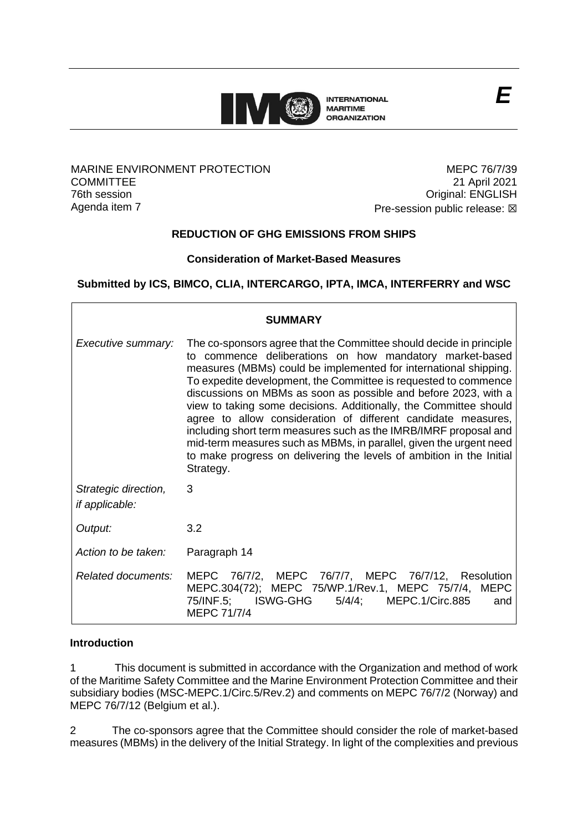

#### MARINE ENVIRONMENT PROTECTION **COMMITTEE** 76th session Agenda item 7

MEPC 76/7/39 21 April 2021 Original: ENGLISH **Pre-session public release: ⊠** 

*E*

# **REDUCTION OF GHG EMISSIONS FROM SHIPS**

### **Consideration of Market-Based Measures**

## **Submitted by ICS, BIMCO, CLIA, INTERCARGO, IPTA, IMCA, INTERFERRY and WSC**

| <b>SUMMARY</b>                                |                                                                                                                                                                                                                                                                                                                                                                                                                                                                                                                                                                                                                                                                                                               |
|-----------------------------------------------|---------------------------------------------------------------------------------------------------------------------------------------------------------------------------------------------------------------------------------------------------------------------------------------------------------------------------------------------------------------------------------------------------------------------------------------------------------------------------------------------------------------------------------------------------------------------------------------------------------------------------------------------------------------------------------------------------------------|
| Executive summary:                            | The co-sponsors agree that the Committee should decide in principle<br>to commence deliberations on how mandatory market-based<br>measures (MBMs) could be implemented for international shipping.<br>To expedite development, the Committee is requested to commence<br>discussions on MBMs as soon as possible and before 2023, with a<br>view to taking some decisions. Additionally, the Committee should<br>agree to allow consideration of different candidate measures,<br>including short term measures such as the IMRB/IMRF proposal and<br>mid-term measures such as MBMs, in parallel, given the urgent need<br>to make progress on delivering the levels of ambition in the Initial<br>Strategy. |
| Strategic direction,<br><i>if applicable:</i> | 3                                                                                                                                                                                                                                                                                                                                                                                                                                                                                                                                                                                                                                                                                                             |
| Output:                                       | 3.2                                                                                                                                                                                                                                                                                                                                                                                                                                                                                                                                                                                                                                                                                                           |
| Action to be taken:                           | Paragraph 14                                                                                                                                                                                                                                                                                                                                                                                                                                                                                                                                                                                                                                                                                                  |
| Related documents:                            | MEPC 76/7/2, MEPC 76/7/7, MEPC 76/7/12, Resolution<br>MEPC.304(72); MEPC 75/WP.1/Rev.1, MEPC 75/7/4, MEPC<br>75/INF.5; ISWG-GHG<br>5/4/4; MEPC.1/Circ.885<br>and<br>MEPC 71/7/4                                                                                                                                                                                                                                                                                                                                                                                                                                                                                                                               |

#### **Introduction**

1 This document is submitted in accordance with the Organization and method of work of the Maritime Safety Committee and the Marine Environment Protection Committee and their subsidiary bodies (MSC-MEPC.1/Circ.5/Rev.2) and comments on MEPC 76/7/2 (Norway) and MEPC 76/7/12 (Belgium et al.).

2 The co-sponsors agree that the Committee should consider the role of market-based measures (MBMs) in the delivery of the Initial Strategy. In light of the complexities and previous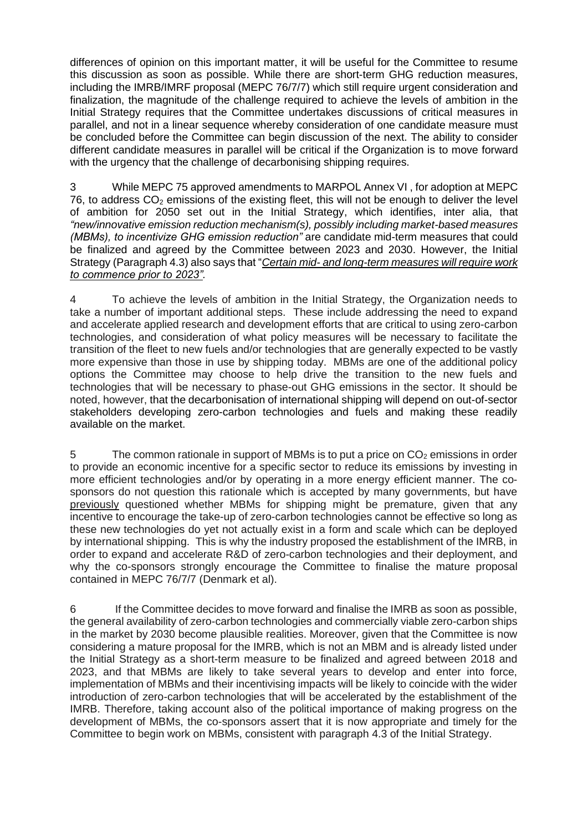differences of opinion on this important matter, it will be useful for the Committee to resume this discussion as soon as possible. While there are short-term GHG reduction measures, including the IMRB/IMRF proposal (MEPC 76/7/7) which still require urgent consideration and finalization, the magnitude of the challenge required to achieve the levels of ambition in the Initial Strategy requires that the Committee undertakes discussions of critical measures in parallel, and not in a linear sequence whereby consideration of one candidate measure must be concluded before the Committee can begin discussion of the next. The ability to consider different candidate measures in parallel will be critical if the Organization is to move forward with the urgency that the challenge of decarbonising shipping requires.

3 While MEPC 75 approved amendments to MARPOL Annex VI , for adoption at MEPC 76, to address  $CO<sub>2</sub>$  emissions of the existing fleet, this will not be enough to deliver the level of ambition for 2050 set out in the Initial Strategy, which identifies, inter alia, that *"new/innovative emission reduction mechanism(s), possibly including market-based measures (MBMs), to incentivize GHG emission reduction"* are candidate mid-term measures that could be finalized and agreed by the Committee between 2023 and 2030. However, the Initial Strategy (Paragraph 4.3) also says that "*Certain mid- and long-term measures will require work to commence prior to 2023".* 

4 To achieve the levels of ambition in the Initial Strategy, the Organization needs to take a number of important additional steps. These include addressing the need to expand and accelerate applied research and development efforts that are critical to using zero-carbon technologies, and consideration of what policy measures will be necessary to facilitate the transition of the fleet to new fuels and/or technologies that are generally expected to be vastly more expensive than those in use by shipping today. MBMs are one of the additional policy options the Committee may choose to help drive the transition to the new fuels and technologies that will be necessary to phase-out GHG emissions in the sector. It should be noted, however, that the decarbonisation of international shipping will depend on out-of-sector stakeholders developing zero-carbon technologies and fuels and making these readily available on the market.

5 The common rationale in support of MBMs is to put a price on  $CO<sub>2</sub>$  emissions in order to provide an economic incentive for a specific sector to reduce its emissions by investing in more efficient technologies and/or by operating in a more energy efficient manner. The cosponsors do not question this rationale which is accepted by many governments, but have previously questioned whether MBMs for shipping might be premature, given that any incentive to encourage the take-up of zero-carbon technologies cannot be effective so long as these new technologies do yet not actually exist in a form and scale which can be deployed by international shipping. This is why the industry proposed the establishment of the IMRB, in order to expand and accelerate R&D of zero-carbon technologies and their deployment, and why the co-sponsors strongly encourage the Committee to finalise the mature proposal contained in MEPC 76/7/7 (Denmark et al).

6 If the Committee decides to move forward and finalise the IMRB as soon as possible, the general availability of zero-carbon technologies and commercially viable zero-carbon ships in the market by 2030 become plausible realities. Moreover, given that the Committee is now considering a mature proposal for the IMRB, which is not an MBM and is already listed under the Initial Strategy as a short-term measure to be finalized and agreed between 2018 and 2023, and that MBMs are likely to take several years to develop and enter into force, implementation of MBMs and their incentivising impacts will be likely to coincide with the wider introduction of zero-carbon technologies that will be accelerated by the establishment of the IMRB. Therefore, taking account also of the political importance of making progress on the development of MBMs, the co-sponsors assert that it is now appropriate and timely for the Committee to begin work on MBMs, consistent with paragraph 4.3 of the Initial Strategy.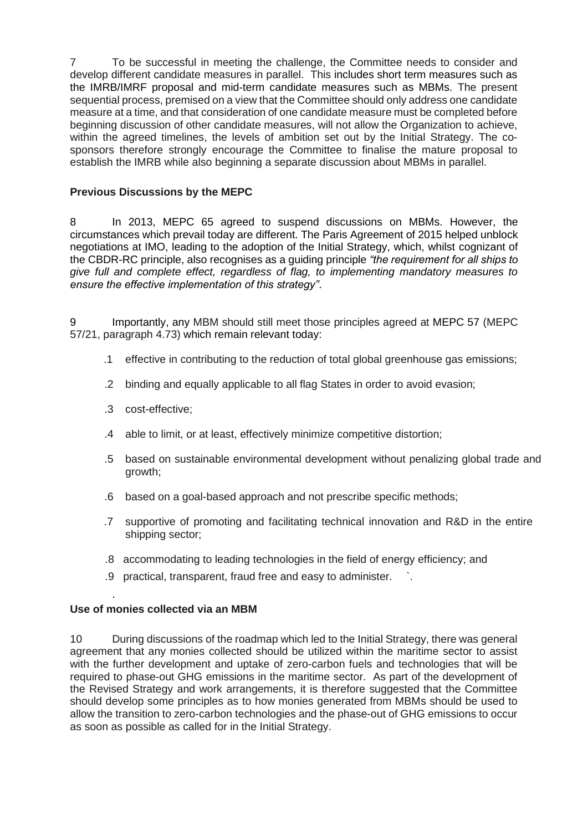7 To be successful in meeting the challenge, the Committee needs to consider and develop different candidate measures in parallel. This includes short term measures such as the IMRB/IMRF proposal and mid-term candidate measures such as MBMs. The present sequential process, premised on a view that the Committee should only address one candidate measure at a time, and that consideration of one candidate measure must be completed before beginning discussion of other candidate measures, will not allow the Organization to achieve, within the agreed timelines, the levels of ambition set out by the Initial Strategy. The cosponsors therefore strongly encourage the Committee to finalise the mature proposal to establish the IMRB while also beginning a separate discussion about MBMs in parallel.

#### **Previous Discussions by the MEPC**

8 In 2013, MEPC 65 agreed to suspend discussions on MBMs. However, the circumstances which prevail today are different. The Paris Agreement of 2015 helped unblock negotiations at IMO, leading to the adoption of the Initial Strategy, which, whilst cognizant of the CBDR-RC principle, also recognises as a guiding principle *"the requirement for all ships to give full and complete effect, regardless of flag, to implementing mandatory measures to ensure the effective implementation of this strategy"*.

9 Importantly, any MBM should still meet those principles agreed at MEPC 57 (MEPC 57/21, paragraph 4.73) which remain relevant today:

- .1 effective in contributing to the reduction of total global greenhouse gas emissions;
- .2 binding and equally applicable to all flag States in order to avoid evasion;
- .3 cost-effective;
- .4 able to limit, or at least, effectively minimize competitive distortion;
- .5 based on sustainable environmental development without penalizing global trade and growth;
- .6 based on a goal-based approach and not prescribe specific methods;
- .7 supportive of promoting and facilitating technical innovation and R&D in the entire shipping sector;
- .8 accommodating to leading technologies in the field of energy efficiency; and
- .9 practical, transparent, fraud free and easy to administer. `.

## **Use of monies collected via an MBM**

.

10 During discussions of the roadmap which led to the Initial Strategy, there was general agreement that any monies collected should be utilized within the maritime sector to assist with the further development and uptake of zero-carbon fuels and technologies that will be required to phase-out GHG emissions in the maritime sector. As part of the development of the Revised Strategy and work arrangements, it is therefore suggested that the Committee should develop some principles as to how monies generated from MBMs should be used to allow the transition to zero-carbon technologies and the phase-out of GHG emissions to occur as soon as possible as called for in the Initial Strategy.